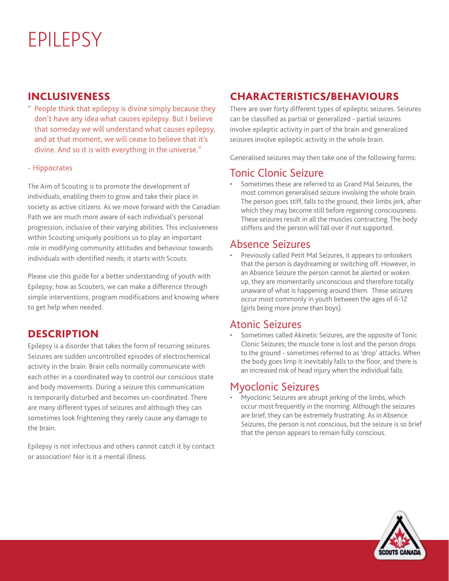#### INCLUSIVENESS

" People think that epilepsy is divine simply because they don't have any idea what causes epilepsy. But I believe that someday we will understand what causes epilepsy, and at that moment, we will cease to believe that it's divine. And so it is with everything in the universe."

#### - Hippocrates

The Aim of Scouting is to promote the development of individuals, enabling them to grow and take their place in society as active citizens. As we move forward with the Canadian Path we are much more aware of each individual's personal progression, inclusive of their varying abilities. This inclusiveness within Scouting uniquely positions us to play an important role in modifying community attitudes and behaviour towards individuals with identified needs; it starts with Scouts.

Please use this guide for a better understanding of youth with Epilepsy; how as Scouters, we can make a difference through simple interventions, program modifications and knowing where to get help when needed.

### **DESCRIPTION**

Epilepsy is a disorder that takes the form of recurring seizures. Seizures are sudden uncontrolled episodes of electrochemical activity in the brain. Brain cells normally communicate with each other in a coordinated way to control our conscious state and body movements. During a seizure this communication is temporarily disturbed and becomes un-coordinated. There are many different types of seizures and although they can sometimes look frightening they rarely cause any damage to the brain.

Epilepsy is not infectious and others cannot catch it by contact or association! Nor is it a mental illness.

# CHARACTERISTICS/BEHAVIOURS

There are over forty different types of epileptic seizures. Seizures can be classified as partial or generalized - partial seizures involve epileptic activity in part of the brain and generalized seizures involve epileptic activity in the whole brain.

Generalised seizures may then take one of the following forms:

# Tonic Clonic Seizure

• Sometimes these are referred to as Grand Mal Seizures, the most common generalised seizure involving the whole brain. The person goes stiff, falls to the ground, their limbs jerk, after which they may become still before regaining consciousness. These seizures result in all the muscles contracting. The body stiffens and the person will fall over if not supported.

#### Absence Seizures

Previously called Petit Mal Seizures, it appears to onlookers that the person is daydreaming or switching off. However, in an Absence Seizure the person cannot be alerted or woken up, they are momentarily unconscious and therefore totally unaware of what is happening around them. These seizures occur most commonly in youth between the ages of 6-12 (girls being more prone than boys).

#### Atonic Seizures

Sometimes called Akinetic Seizures, are the opposite of Tonic Clonic Seizures; the muscle tone is lost and the person drops to the ground - sometimes referred to as 'drop' attacks. When the body goes limp it inevitably falls to the floor, and there is an increased risk of head injury when the individual falls.

#### Myoclonic Seizures

• Myoclonic Seizures are abrupt jerking of the limbs, which occur most frequently in the morning. Although the seizures are brief, they can be extremely frustrating. As in Absence Seizures, the person is not conscious, but the seizure is so brief that the person appears to remain fully conscious.